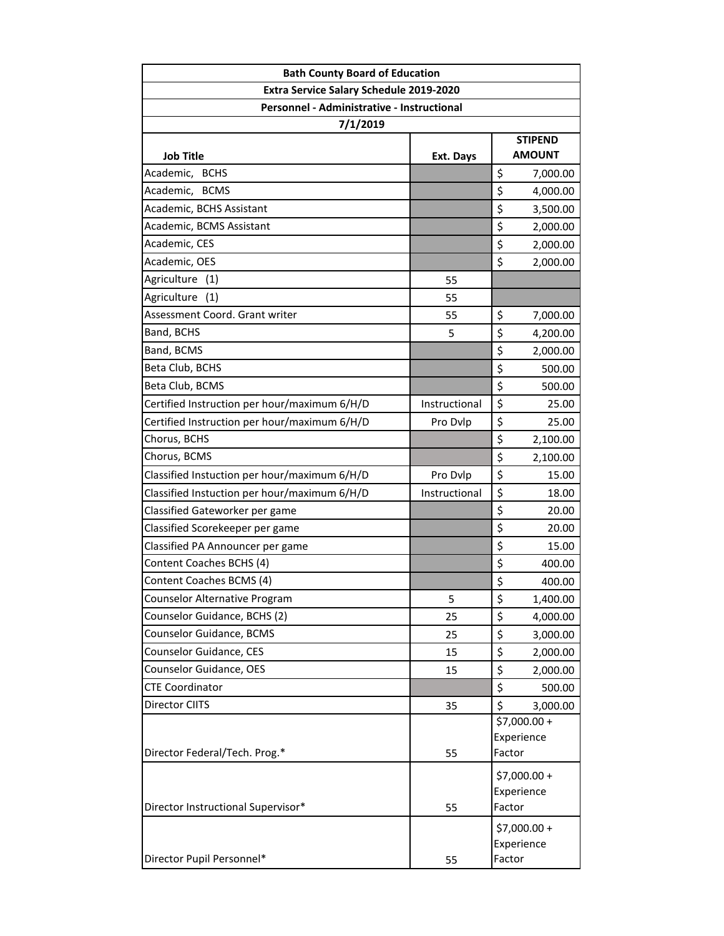| <b>Bath County Board of Education</b>        |               |                                 |  |
|----------------------------------------------|---------------|---------------------------------|--|
| Extra Service Salary Schedule 2019-2020      |               |                                 |  |
| Personnel - Administrative - Instructional   |               |                                 |  |
| 7/1/2019                                     |               |                                 |  |
| Job Title                                    | Ext. Days     | <b>STIPEND</b><br><b>AMOUNT</b> |  |
| Academic, BCHS                               |               | \$<br>7,000.00                  |  |
| Academic, BCMS                               |               | \$<br>4,000.00                  |  |
| Academic, BCHS Assistant                     |               | \$<br>3,500.00                  |  |
| Academic, BCMS Assistant                     |               | \$<br>2,000.00                  |  |
| Academic, CES                                |               | \$<br>2,000.00                  |  |
| Academic, OES                                |               | \$<br>2,000.00                  |  |
| Agriculture<br>(1)                           | 55            |                                 |  |
| Agriculture (1)                              | 55            |                                 |  |
| Assessment Coord. Grant writer               | 55            | \$<br>7,000.00                  |  |
| Band, BCHS                                   | 5             | \$<br>4,200.00                  |  |
| Band, BCMS                                   |               | \$<br>2,000.00                  |  |
| Beta Club, BCHS                              |               | \$<br>500.00                    |  |
| Beta Club, BCMS                              |               | \$<br>500.00                    |  |
| Certified Instruction per hour/maximum 6/H/D | Instructional | \$<br>25.00                     |  |
| Certified Instruction per hour/maximum 6/H/D | Pro Dvlp      | \$<br>25.00                     |  |
| Chorus, BCHS                                 |               | \$<br>2,100.00                  |  |
| Chorus, BCMS                                 |               | \$<br>2,100.00                  |  |
| Classified Instuction per hour/maximum 6/H/D | Pro Dvlp      | \$<br>15.00                     |  |
| Classified Instuction per hour/maximum 6/H/D | Instructional | \$<br>18.00                     |  |
| Classified Gateworker per game               |               | \$<br>20.00                     |  |
| Classified Scorekeeper per game              |               | \$<br>20.00                     |  |
| Classified PA Announcer per game             |               | \$<br>15.00                     |  |
| Content Coaches BCHS (4)                     |               | \$<br>400.00                    |  |
| Content Coaches BCMS (4)                     |               | \$<br>400.00                    |  |
| Counselor Alternative Program                | 5             | \$<br>1,400.00                  |  |
| Counselor Guidance, BCHS (2)                 | 25            | \$<br>4,000.00                  |  |
| Counselor Guidance, BCMS                     | 25            | \$<br>3,000.00                  |  |
| Counselor Guidance, CES                      | 15            | \$<br>2,000.00                  |  |
| Counselor Guidance, OES                      | 15            | \$<br>2,000.00                  |  |
| <b>CTE Coordinator</b>                       |               | \$<br>500.00                    |  |
| Director CIITS                               | 35            | \$<br>3,000.00                  |  |
|                                              |               | \$7,000.00 +                    |  |
|                                              |               | Experience                      |  |
| Director Federal/Tech. Prog.*                | 55            | Factor                          |  |
|                                              |               | \$7,000.00+                     |  |
|                                              |               | Experience                      |  |
| Director Instructional Supervisor*           | 55            | Factor                          |  |
|                                              |               | $$7,000.00 +$                   |  |
|                                              |               | Experience                      |  |
| Director Pupil Personnel*                    | 55            | Factor                          |  |